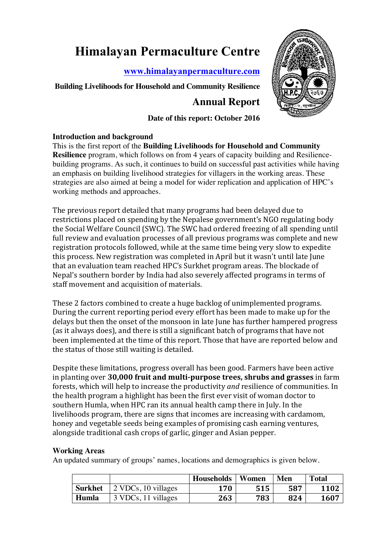# **Himalayan Permaculture Centre**

**www.himalayanpermaculture.com**

# **Building Livelihoods for Household and Community Resilience**

# **Annual Report**



## **Date of this report: October 2016**

## **Introduction and background**

This is the first report of the **Building Livelihoods for Household and Community Resilience** program, which follows on from 4 years of capacity building and Resiliencebuilding programs. As such, it continues to build on successful past activities while having an emphasis on building livelihood strategies for villagers in the working areas. These strategies are also aimed at being a model for wider replication and application of HPC's working methods and approaches.

The previous report detailed that many programs had been delayed due to restrictions placed on spending by the Nepalese government's NGO regulating body the Social Welfare Council (SWC). The SWC had ordered freezing of all spending until full review and evaluation processes of all previous programs was complete and new registration protocols followed, while at the same time being very slow to expedite this process. New registration was completed in April but it wasn't until late June that an evaluation team reached HPC's Surkhet program areas. The blockade of Nepal's southern border by India had also severely affected programs in terms of staff movement and acquisition of materials.

These 2 factors combined to create a huge backlog of unimplemented programs. During the current reporting period every effort has been made to make up for the delays but then the onset of the monsoon in late June has further hampered progress (as it always does), and there is still a significant batch of programs that have not been implemented at the time of this report. Those that have are reported below and the status of those still waiting is detailed.

Despite these limitations, progress overall has been good. Farmers have been active in planting over 30,000 fruit and multi-purpose trees, shrubs and grasses in farm forests, which will help to increase the productivity *and* resilience of communities. In the health program a highlight has been the first ever visit of woman doctor to southern Humla, when HPC ran its annual health camp there in July. In the livelihoods program, there are signs that incomes are increasing with cardamom, honey and vegetable seeds being examples of promising cash earning ventures, alongside traditional cash crops of garlic, ginger and Asian pepper.

## **Working Areas**

An updated summary of groups' names, locations and demographics is given below.

|         |                     | <b>Households</b> | Women | Men | <b>Total</b> |
|---------|---------------------|-------------------|-------|-----|--------------|
| Surkhet | 2 VDCs, 10 villages | 170               | 515   | 587 | 1102         |
| Humla   | 3 VDCs, 11 villages | 263               | 783   | 824 | 1607         |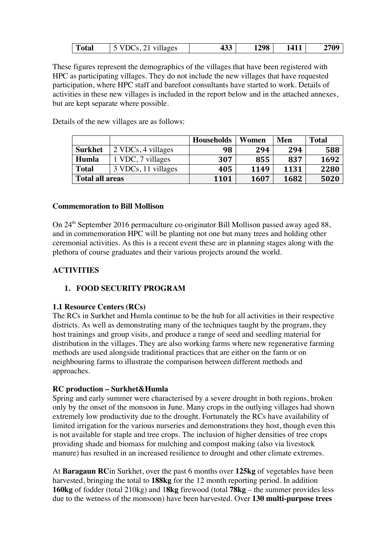| ) (<br>ഹ<br>I otal<br>.UJ | $-$<br>≖৺ | 298 | .<br>. | 700<br>v. |
|---------------------------|-----------|-----|--------|-----------|
|---------------------------|-----------|-----|--------|-----------|

These figures represent the demographics of the villages that have been registered with HPC as participating villages. They do not include the new villages that have requested participation, where HPC staff and barefoot consultants have started to work. Details of activities in these new villages is included in the report below and in the attached annexes, but are kept separate where possible.

Details of the new villages are as follows:

|                        |                     | <b>Households</b> | Women | Men  | <b>Total</b> |
|------------------------|---------------------|-------------------|-------|------|--------------|
| <b>Surkhet</b>         | 2 VDCs, 4 villages  | 98                | 294   | 294  | 588          |
| Humla                  | 1 VDC, 7 villages   | 307               | 855   | 837  | 1692         |
| <b>Total</b>           | 3 VDCs, 11 villages | 405               | 1149  | 1131 | 2280         |
| <b>Total all areas</b> |                     | 1101              | 1607  | 1682 | 5020         |

#### **Commemoration to Bill Mollison**

On 24<sup>th</sup> September 2016 permaculture co-originator Bill Mollison passed away aged 88, and in commemoration HPC will be planting not one but many trees and holding other ceremonial activities. As this is a recent event these are in planning stages along with the plethora of course graduates and their various projects around the world.

#### **ACTIVITIES**

#### **1. FOOD SECURITY PROGRAM**

#### **1.1 Resource Centers (RCs)**

The RCs in Surkhet and Humla continue to be the hub for all activities in their respective districts. As well as demonstrating many of the techniques taught by the program, they host trainings and group visits, and produce a range of seed and seedling material for distribution in the villages. They are also working farms where new regenerative farming methods are used alongside traditional practices that are either on the farm or on neighbouring farms to illustrate the comparison between different methods and approaches.

#### **RC production – Surkhet&Humla**

Spring and early summer were characterised by a severe drought in both regions, broken only by the onset of the monsoon in June. Many crops in the outlying villages had shown extremely low productivity due to the drought. Fortunately the RCs have availability of limited irrigation for the various nurseries and demonstrations they host, though even this is not available for staple and tree crops. The inclusion of higher densities of tree crops providing shade and biomass for mulching and compost making (also via livestock manure) has resulted in an increased resilience to drought and other climate extremes.

At **Baragaun RC**in Surkhet, over the past 6 months over **125kg** of vegetables have been harvested, bringing the total to **188kg** for the 12 month reporting period. In addition **160kg** of fodder (total 210kg) and 1**8kg** firewood (total **78kg** – the summer provides less due to the wetness of the monsoon) have been harvested. Over **130 multi-purpose trees**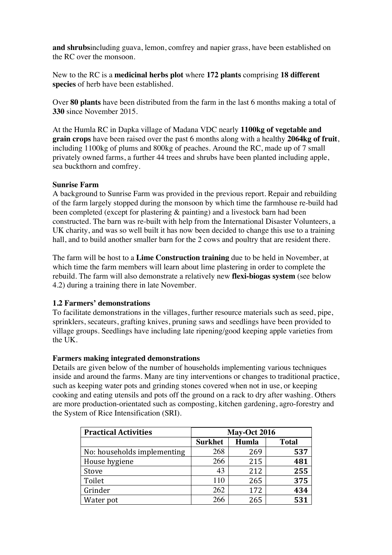**and shrubs**including guava, lemon, comfrey and napier grass, have been established on the RC over the monsoon.

New to the RC is a **medicinal herbs plot** where **172 plants** comprising **18 different species** of herb have been established.

Over **80 plants** have been distributed from the farm in the last 6 months making a total of **330** since November 2015.

At the Humla RC in Dapka village of Madana VDC nearly **1100kg of vegetable and grain crops** have been raised over the past 6 months along with a healthy **2064kg of fruit**, including 1100kg of plums and 800kg of peaches. Around the RC, made up of 7 small privately owned farms, a further 44 trees and shrubs have been planted including apple, sea buckthorn and comfrey.

#### **Sunrise Farm**

A background to Sunrise Farm was provided in the previous report. Repair and rebuilding of the farm largely stopped during the monsoon by which time the farmhouse re-build had been completed (except for plastering & painting) and a livestock barn had been constructed. The barn was re-built with help from the International Disaster Volunteers, a UK charity, and was so well built it has now been decided to change this use to a training hall, and to build another smaller barn for the 2 cows and poultry that are resident there.

The farm will be host to a **Lime Construction training** due to be held in November, at which time the farm members will learn about lime plastering in order to complete the rebuild. The farm will also demonstrate a relatively new **flexi-biogas system** (see below 4.2) during a training there in late November.

#### **1.2 Farmers' demonstrations**

To facilitate demonstrations in the villages, further resource materials such as seed, pipe, sprinklers, secateurs, grafting knives, pruning saws and seedlings have been provided to village groups. Seedlings have including late ripening/good keeping apple varieties from the UK.

#### **Farmers making integrated demonstrations**

Details are given below of the number of households implementing various techniques inside and around the farms. Many are tiny interventions or changes to traditional practice, such as keeping water pots and grinding stones covered when not in use, or keeping cooking and eating utensils and pots off the ground on a rack to dry after washing. Others are more production-orientated such as composting, kitchen gardening, agro-forestry and the System of Rice Intensification (SRI).

| <b>Practical Activities</b> |                | <b>May-Oct 2016</b> |              |
|-----------------------------|----------------|---------------------|--------------|
|                             | <b>Surkhet</b> | Humla               | <b>Total</b> |
| No: households implementing | 268            | 269                 | 537          |
| House hygiene               | 266            | 215                 | 481          |
| Stove                       | 43             | 212                 | 255          |
| Toilet                      | 110            | 265                 | 375          |
| Grinder                     | 262            | 172                 | 434          |
| Water pot                   | 266            | 265                 | 531          |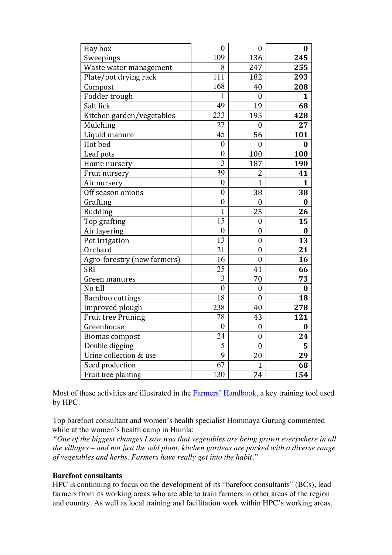| Hay box                     | $\overline{0}$   | $\boldsymbol{0}$ | 0                |
|-----------------------------|------------------|------------------|------------------|
| Sweepings                   | 109              | 136              | 245              |
| Waste water management      | 8                | 247              | 255              |
| Plate/pot drying rack       | $\overline{111}$ | 182              | 293              |
| Compost                     | 168              | 40               | 208              |
| Fodder trough               | $\mathbf{1}$     | $\boldsymbol{0}$ | $\mathbf{1}$     |
| Salt lick                   | 49               | 19               | 68               |
| Kitchen garden/vegetables   | 233              | 195              | 428              |
| Mulching                    | 27               | $\overline{0}$   | 27               |
| Liquid manure               | 45               | 56               | 101              |
| Hot bed                     | $\overline{0}$   | $\overline{0}$   | $\bf{0}$         |
| Leaf pots                   | $\overline{0}$   | 100              | 100              |
| Home nursery                | $\overline{3}$   | 187              | 190              |
| Fruit nursery               | 39               | $\overline{c}$   | 41               |
| Air nursery                 | $\overline{0}$   | $\overline{1}$   | $\mathbf{1}$     |
| Off season onions           | $\boldsymbol{0}$ | 38               | 38               |
| Grafting                    | $\overline{0}$   | $\mathbf{0}$     | $\boldsymbol{0}$ |
| <b>Budding</b>              | $\mathbf{1}$     | 25               | 26               |
| Top grafting                | 15               | $\overline{0}$   | 15               |
| Air layering                | $\overline{0}$   | $\boldsymbol{0}$ | $\bf{0}$         |
| Pot irrigation              | $\overline{13}$  | $\boldsymbol{0}$ | 13               |
| Orchard                     | 21               | $\boldsymbol{0}$ | 21               |
| Agro-forestry (new farmers) | 16               | $\boldsymbol{0}$ | 16               |
| SRI                         | 25               | 41               | 66               |
| Green manures               | 3                | 70               | 73               |
| No till                     | $\overline{0}$   | $\overline{0}$   | $\bf{0}$         |
| Bamboo cuttings             | 18               | $\overline{0}$   | 18               |
| Improved plough             | 238              | 40               | 278              |
| <b>Fruit tree Pruning</b>   | 78               | 43               | 121              |
| Greenhouse                  | $\overline{0}$   | $\boldsymbol{0}$ | $\bf{0}$         |
| <b>Biomas compost</b>       | 24               | $\boldsymbol{0}$ | 24               |
| Double digging              | 5                | $\boldsymbol{0}$ | 5                |
| Urine collection & use      | 9                | 20               | 29               |
| Seed production             | $\overline{67}$  | $\overline{1}$   | 68               |
| Fruit tree planting         | 130              | 24               | 154              |

Most of these activities are illustrated in the Farmers' Handbook, a key training tool used by HPC.

Top barefoot consultant and women's health specialist Hommaya Gurung commented while at the women's health camp in Humla:

*"One of the biggest changes I saw was that vegetables are being grown everywhere in all the villages – and not just the odd plant, kitchen gardens are packed with a diverse range of vegetables and herbs. Farmers have really got into the habit."*

#### **Barefoot consultants**

HPC is continuing to focus on the development of its "barefoot consultants" (BCs), lead farmers from its working areas who are able to train farmers in other areas of the region and country. As well as local training and facilitation work within HPC's working areas,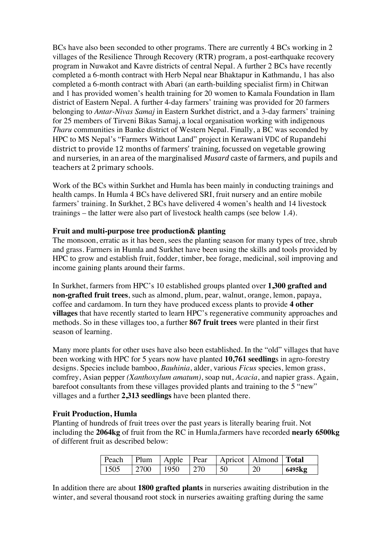BCs have also been seconded to other programs. There are currently 4 BCs working in 2 villages of the Resilience Through Recovery (RTR) program, a post-earthquake recovery program in Nuwakot and Kavre districts of central Nepal. A further 2 BCs have recently completed a 6-month contract with Herb Nepal near Bhaktapur in Kathmandu, 1 has also completed a 6-month contract with Abari (an earth-building specialist firm) in Chitwan and 1 has provided women's health training for 20 women to Kamala Foundation in Ilam district of Eastern Nepal. A further 4-day farmers' training was provided for 20 farmers belonging to *Antar-Nivas Samaj* in Eastern Surkhet district, and a 3-day farmers' training for 25 members of Tirveni Bikas Samaj, a local organisation working with indigenous *Tharu* communities in Banke district of Western Nepal. Finally, a BC was seconded by HPC to MS Nepal's "Farmers Without Land" project in Kerawani VDC of Rupandehi district to provide 12 months of farmers' training, focussed on vegetable growing and nurseries, in an area of the marginalised *Musard* caste of farmers, and pupils and teachers at 2 primary schools.

Work of the BCs within Surkhet and Humla has been mainly in conducting trainings and health camps. In Humla 4 BCs have delivered SRI, fruit nursery and an entire mobile farmers' training. In Surkhet, 2 BCs have delivered 4 women's health and 14 livestock trainings – the latter were also part of livestock health camps (see below 1.4).

#### **Fruit and multi-purpose tree production& planting**

The monsoon, erratic as it has been, sees the planting season for many types of tree, shrub and grass. Farmers in Humla and Surkhet have been using the skills and tools provided by HPC to grow and establish fruit, fodder, timber, bee forage, medicinal, soil improving and income gaining plants around their farms.

In Surkhet, farmers from HPC's 10 established groups planted over **1,300 grafted and non-grafted fruit trees**, such as almond, plum, pear, walnut, orange, lemon, papaya, coffee and cardamom. In turn they have produced excess plants to provide **4 other villages** that have recently started to learn HPC's regenerative community approaches and methods. So in these villages too, a further **867 fruit trees** were planted in their first season of learning.

Many more plants for other uses have also been established. In the "old" villages that have been working with HPC for 5 years now have planted **10,761 seedling**s in agro-forestry designs. Species include bamboo, *Bauhinia*, alder, various *Ficus* species, lemon grass, comfrey, Asian pepper *(Xanthoxylum amatum)*, soap nut, *Acacia*, and napier grass. Again, barefoot consultants from these villages provided plants and training to the 5 "new" villages and a further **2,313 seedlings** have been planted there.

#### **Fruit Production, Humla**

Planting of hundreds of fruit trees over the past years is literally bearing fruit. Not including the **2064kg** of fruit from the RC in Humla,farmers have recorded **nearly 6500kg**  of different fruit as described below:

| Peach |       | Plum Apple Pear        |      |                 | Apricot   Almond   <b>Total</b> |        |
|-------|-------|------------------------|------|-----------------|---------------------------------|--------|
| 1505  | 12700 | $\cdots$ 1950 $\cdots$ | 1270 | $\overline{50}$ | 20                              | 6495kg |

In addition there are about **1800 grafted plants** in nurseries awaiting distribution in the winter, and several thousand root stock in nurseries awaiting grafting during the same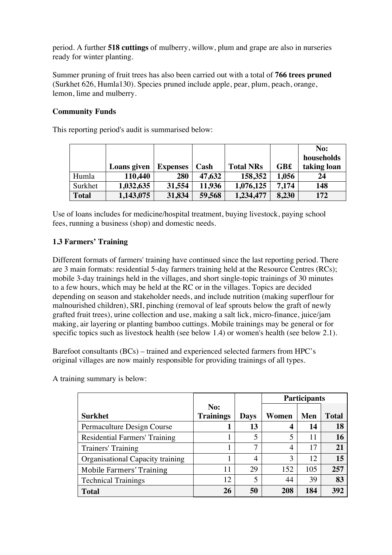period. A further **518 cuttings** of mulberry, willow, plum and grape are also in nurseries ready for winter planting.

Summer pruning of fruit trees has also been carried out with a total of **766 trees pruned** (Surkhet 626, Humla130). Species pruned include apple, pear, plum, peach, orange, lemon, lime and mulberry.

## **Community Funds**

This reporting period's audit is summarised below:

|              |             |                 |        |                  |             | No:         |
|--------------|-------------|-----------------|--------|------------------|-------------|-------------|
|              |             |                 |        |                  |             | households  |
|              | Loans given | <b>Expenses</b> | Cash   | <b>Total NRs</b> | <b>GB</b> £ | taking loan |
| Humla        | 110,440     | 280             | 47,632 | 158,352          | 1,056       | 24          |
| Surkhet      | 1,032,635   | 31,554          | 11,936 | 1,076,125        | 7.174       | 148         |
| <b>Total</b> | 1,143,075   | 31,834          | 59,568 | 1,234,477        | 8,230       | 172         |

Use of loans includes for medicine/hospital treatment, buying livestock, paying school fees, running a business (shop) and domestic needs.

## **1.3 Farmers' Training**

Different formats of farmers' training have continued since the last reporting period. There are 3 main formats: residential 5-day farmers training held at the Resource Centres (RCs); mobile 3-day trainings held in the villages, and short single-topic trainings of 30 minutes to a few hours, which may be held at the RC or in the villages. Topics are decided depending on season and stakeholder needs, and include nutrition (making superflour for malnourished children), SRI, pinching (removal of leaf sprouts below the graft of newly grafted fruit trees), urine collection and use, making a salt lick, micro-finance, juice/jam making, air layering or planting bamboo cuttings. Mobile trainings may be general or for specific topics such as livestock health (see below 1.4) or women's health (see below 2.1).

Barefoot consultants (BCs) – trained and experienced selected farmers from HPC's original villages are now mainly responsible for providing trainings of all types.

A training summary is below:

|                                      |                  |             |       | <b>Participants</b> |              |
|--------------------------------------|------------------|-------------|-------|---------------------|--------------|
|                                      | No:              |             |       |                     |              |
| <b>Surkhet</b>                       | <b>Trainings</b> | <b>Days</b> | Women | Men                 | <b>Total</b> |
| Permaculture Design Course           |                  | 13          | 4     | 14                  | 18           |
| <b>Residential Farmers' Training</b> |                  | 5           |       | 11                  | 16           |
| Trainers' Training                   |                  | 7           | 4     | 17                  | 21           |
| Organisational Capacity training     |                  | 4           | 3     | 12.                 | 15           |
| <b>Mobile Farmers' Training</b>      | 11               | 29          | 152   | 105                 | 257          |
| <b>Technical Trainings</b>           | 12               | 5           | 44    | 39                  | 83           |
| <b>Total</b>                         | 26               | 50          | 208   | 184                 | 392          |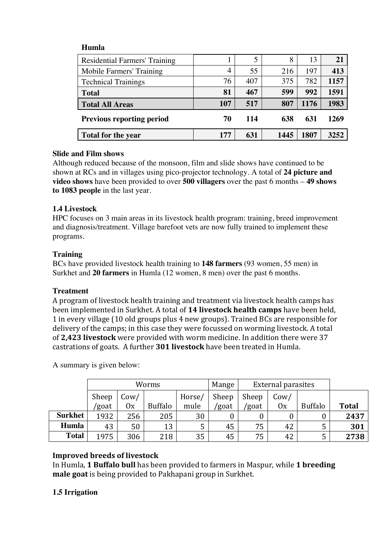## **Humla**

| Residential Farmers' Training    |     |     | 8    | 13   | 21   |
|----------------------------------|-----|-----|------|------|------|
| Mobile Farmers' Training         | 4   | 55  | 216  | 197  | 413  |
| <b>Technical Trainings</b>       | 76  | 407 | 375  | 782  | 1157 |
| <b>Total</b>                     | 81  | 467 | 599  | 992  | 1591 |
| <b>Total All Areas</b>           | 107 | 517 | 807  | 1176 | 1983 |
| <b>Previous reporting period</b> | 70  | 114 | 638  | 631  | 1269 |
| <b>Total for the year</b>        | 177 | 631 | 1445 | 1807 | 3252 |

#### **Slide and Film shows**

Although reduced because of the monsoon, film and slide shows have continued to be shown at RCs and in villages using pico-projector technology. A total of **24 picture and video shows** have been provided to over **500 villagers** over the past 6 months – **49 shows to 1083 people** in the last year.

#### **1.4 Livestock**

HPC focuses on 3 main areas in its livestock health program: training, breed improvement and diagnosis/treatment. Village barefoot vets are now fully trained to implement these programs.

#### **Training**

BCs have provided livestock health training to **148 farmers** (93 women, 55 men) in Surkhet and **20 farmers** in Humla (12 women, 8 men) over the past 6 months.

#### **Treatment**

A program of livestock health training and treatment via livestock health camps has been implemented in Surkhet. A total of 14 livestock health camps have been held, 1 in every village (10 old groups plus 4 new groups). Trained BCs are responsible for delivery of the camps; in this case they were focussed on worming livestock. A total of 2,423 livestock were provided with worm medicine. In addition there were 37 castrations of goats. A further **301 livestock** have been treated in Humla.

A summary is given below:

|                | Worms |      |                | Mange  | <b>External parasites</b> |       |      |                |              |
|----------------|-------|------|----------------|--------|---------------------------|-------|------|----------------|--------------|
|                | Sheep | Cow/ |                | Horse/ | Sheep                     | Sheep | Cow/ |                |              |
|                | 'goat | 0x   | <b>Buffalo</b> | mule   | /goat                     | 'goat | 0x   | <b>Buffalo</b> | <b>Total</b> |
| <b>Surkhet</b> | 1932  | 256  | 205            | 30     |                           |       |      | 0              | 2437         |
| Humla          | 43    | 50   | 13             | 5      | 45                        | 75    | 42   |                | 301          |
| <b>Total</b>   | 1975  | 306  | 218            | 35     | 45                        | 75    | 42   | 5              | 2738         |

## **Improved breeds of livestock**

In Humla, 1 Buffalo bull has been provided to farmers in Maspur, while 1 breeding **male goat** is being provided to Pakhapani group in Surkhet.

## **1.5 Irrigation**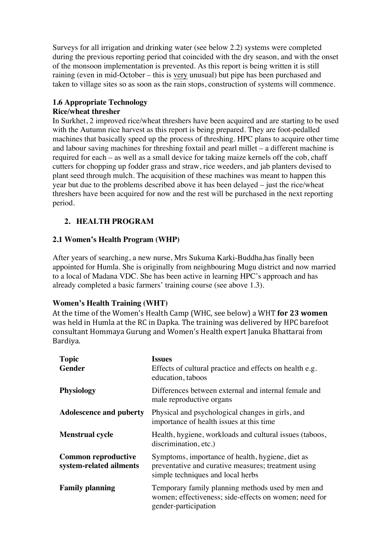Surveys for all irrigation and drinking water (see below 2.2) systems were completed during the previous reporting period that coincided with the dry season, and with the onset of the monsoon implementation is prevented. As this report is being written it is still raining (even in mid-October – this is very unusual) but pipe has been purchased and taken to village sites so as soon as the rain stops, construction of systems will commence.

#### **1.6 Appropriate Technology Rice/wheat thresher**

In Surkhet, 2 improved rice/wheat threshers have been acquired and are starting to be used with the Autumn rice harvest as this report is being prepared. They are foot-pedalled machines that basically speed up the process of threshing. HPC plans to acquire other time and labour saving machines for threshing foxtail and pearl millet – a different machine is required for each – as well as a small device for taking maize kernels off the cob, chaff cutters for chopping up fodder grass and straw, rice weeders, and jab planters devised to plant seed through mulch. The acquisition of these machines was meant to happen this year but due to the problems described above it has been delayed – just the rice/wheat threshers have been acquired for now and the rest will be purchased in the next reporting period.

# **2. HEALTH PROGRAM**

## **2.1 Women's Health Program (WHP)**

After years of searching, a new nurse, Mrs Sukuma Karki-Buddha,has finally been appointed for Humla. She is originally from neighbouring Mugu district and now married to a local of Madana VDC. She has been active in learning HPC's approach and has already completed a basic farmers' training course (see above 1.3).

## **Women's Health Training (WHT)**

At the time of the Women's Health Camp (WHC, see below) a WHT for 23 women was held in Humla at the RC in Dapka. The training was delivered by HPC barefoot consultant Hommaya Gurung and Women's Health expert Januka Bhattarai from Bardiya.

| <b>Topic</b>                                          | <b>Issues</b>                                                                                                                                |
|-------------------------------------------------------|----------------------------------------------------------------------------------------------------------------------------------------------|
| <b>Gender</b>                                         | Effects of cultural practice and effects on health e.g.<br>education, taboos                                                                 |
| <b>Physiology</b>                                     | Differences between external and internal female and<br>male reproductive organs                                                             |
| <b>Adolescence and puberty</b>                        | Physical and psychological changes in girls, and<br>importance of health issues at this time                                                 |
| <b>Menstrual cycle</b>                                | Health, hygiene, workloads and cultural issues (taboos,<br>discrimination, etc.)                                                             |
| <b>Common reproductive</b><br>system-related ailments | Symptoms, importance of health, hygiene, diet as<br>preventative and curative measures; treatment using<br>simple techniques and local herbs |
| <b>Family planning</b>                                | Temporary family planning methods used by men and<br>women; effectiveness; side-effects on women; need for<br>gender-participation           |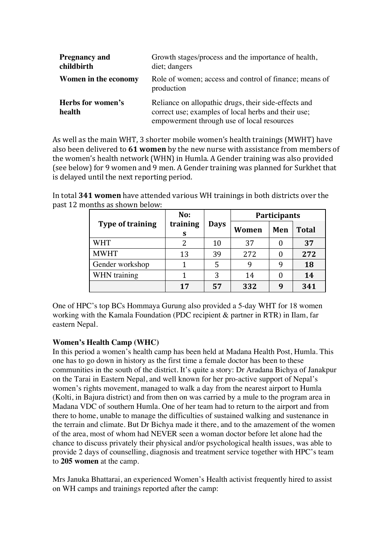| <b>Pregnancy and</b><br>childbirth | Growth stages/process and the importance of health,<br>diet; dangers                                                                                      |
|------------------------------------|-----------------------------------------------------------------------------------------------------------------------------------------------------------|
| Women in the economy               | Role of women; access and control of finance; means of<br>production                                                                                      |
| Herbs for women's<br>health        | Reliance on allopathic drugs, their side-effects and<br>correct use; examples of local herbs and their use;<br>empowerment through use of local resources |

As well as the main WHT, 3 shorter mobile women's health trainings (MWHT) have also been delivered to **61 women** by the new nurse with assistance from members of the women's health network (WHN) in Humla. A Gender training was also provided (see below) for 9 women and 9 men. A Gender training was planned for Surkhet that is delayed until the next reporting period.

In total **341 women** have attended various WH trainings in both districts over the past 12 months as shown below:

|                         | No:           |             | Participants |     |              |
|-------------------------|---------------|-------------|--------------|-----|--------------|
| <b>Type of training</b> | training<br>S | <b>Days</b> | Women        | Men | <b>Total</b> |
| <b>WHT</b>              |               | 10          | 37           |     | 37           |
| <b>MWHT</b>             | 13            | 39          | 272          |     | 272          |
| Gender workshop         |               |             |              |     | 18           |
| WHN training            |               | 3           | 14           |     | 14           |
|                         | 17            | 57          | 332          |     | 341          |

One of HPC's top BCs Hommaya Gurung also provided a 5-day WHT for 18 women working with the Kamala Foundation (PDC recipient & partner in RTR) in Ilam, far eastern Nepal.

## **Women's Health Camp (WHC)**

In this period a women's health camp has been held at Madana Health Post, Humla. This one has to go down in history as the first time a female doctor has been to these communities in the south of the district. It's quite a story: Dr Aradana Bichya of Janakpur on the Tarai in Eastern Nepal, and well known for her pro-active support of Nepal's women's rights movement, managed to walk a day from the nearest airport to Humla (Kolti, in Bajura district) and from then on was carried by a mule to the program area in Madana VDC of southern Humla. One of her team had to return to the airport and from there to home, unable to manage the difficulties of sustained walking and sustenance in the terrain and climate. But Dr Bichya made it there, and to the amazement of the women of the area, most of whom had NEVER seen a woman doctor before let alone had the chance to discuss privately their physical and/or psychological health issues, was able to provide 2 days of counselling, diagnosis and treatment service together with HPC's team to **205 women** at the camp.

Mrs Januka Bhattarai, an experienced Women's Health activist frequently hired to assist on WH camps and trainings reported after the camp: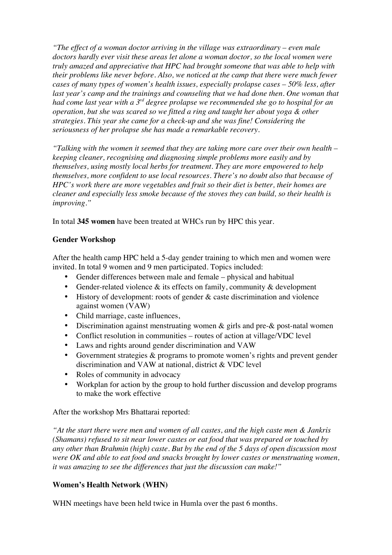*"The effect of a woman doctor arriving in the village was extraordinary – even male doctors hardly ever visit these areas let alone a woman doctor, so the local women were truly amazed and appreciative that HPC had brought someone that was able to help with their problems like never before. Also, we noticed at the camp that there were much fewer cases of many types of women's health issues, especially prolapse cases – 50% less, after*  last year's camp and the trainings and counseling that we had done then. One woman that *had come last year with a 3rd degree prolapse we recommended she go to hospital for an operation, but she was scared so we fitted a ring and taught her about yoga & other strategies. This year she came for a check-up and she was fine! Considering the seriousness of her prolapse she has made a remarkable recovery.* 

*"Talking with the women it seemed that they are taking more care over their own health – keeping cleaner, recognising and diagnosing simple problems more easily and by themselves, using mostly local herbs for treatment. They are more empowered to help themselves, more confident to use local resources. There's no doubt also that because of HPC's work there are more vegetables and fruit so their diet is better, their homes are cleaner and especially less smoke because of the stoves they can build, so their health is improving."*

In total **345 women** have been treated at WHCs run by HPC this year.

## **Gender Workshop**

After the health camp HPC held a 5-day gender training to which men and women were invited. In total 9 women and 9 men participated. Topics included:

- Gender differences between male and female physical and habitual
- Gender-related violence & its effects on family, community & development
- History of development: roots of gender & caste discrimination and violence against women (VAW)
- Child marriage, caste influences,
- Discrimination against menstruating women & girls and pre-& post-natal women
- Conflict resolution in communities routes of action at village/VDC level
- Laws and rights around gender discrimination and VAW
- Government strategies & programs to promote women's rights and prevent gender discrimination and VAW at national, district & VDC level
- Roles of community in advocacy
- Workplan for action by the group to hold further discussion and develop programs to make the work effective

After the workshop Mrs Bhattarai reported:

*"At the start there were men and women of all castes, and the high caste men & Jankris (Shamans) refused to sit near lower castes or eat food that was prepared or touched by any other than Brahmin (high) caste. But by the end of the 5 days of open discussion most were OK and able to eat food and snacks brought by lower castes or menstruating women, it was amazing to see the differences that just the discussion can make!"*

## **Women's Health Network (WHN)**

WHN meetings have been held twice in Humla over the past 6 months.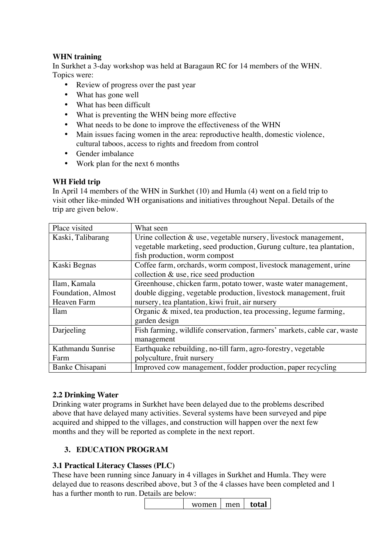## **WHN training**

In Surkhet a 3-day workshop was held at Baragaun RC for 14 members of the WHN. Topics were:

- Review of progress over the past year
- What has gone well
- What has been difficult
- What is preventing the WHN being more effective
- What needs to be done to improve the effectiveness of the WHN
- Main issues facing women in the area: reproductive health, domestic violence, cultural taboos, access to rights and freedom from control
- Gender imbalance
- Work plan for the next 6 months

#### **WH Field trip**

In April 14 members of the WHN in Surkhet (10) and Humla (4) went on a field trip to visit other like-minded WH organisations and initiatives throughout Nepal. Details of the trip are given below.

| Place visited      | What seen                                                               |
|--------------------|-------------------------------------------------------------------------|
| Kaski, Talibarang  | Urine collection $\&$ use, vegetable nursery, livestock management,     |
|                    | vegetable marketing, seed production, Gurung culture, tea plantation,   |
|                    | fish production, worm compost                                           |
| Kaski Begnas       | Coffee farm, orchards, worm compost, livestock management, urine        |
|                    | collection $\&$ use, rice seed production                               |
| Ilam, Kamala       | Greenhouse, chicken farm, potato tower, waste water management,         |
| Foundation, Almost | double digging, vegetable production, livestock management, fruit       |
| Heaven Farm        | nursery, tea plantation, kiwi fruit, air nursery                        |
| <b>Ilam</b>        | Organic $\&$ mixed, tea production, tea processing, legume farming,     |
|                    | garden design                                                           |
| Darjeeling         | Fish farming, wildlife conservation, farmers' markets, cable car, waste |
|                    | management                                                              |
| Kathmandu Sunrise  | Earthquake rebuilding, no-till farm, agro-forestry, vegetable           |
| Farm               | polyculture, fruit nursery                                              |
| Banke Chisapani    | Improved cow management, fodder production, paper recycling             |

#### **2.2 Drinking Water**

Drinking water programs in Surkhet have been delayed due to the problems described above that have delayed many activities. Several systems have been surveyed and pipe acquired and shipped to the villages, and construction will happen over the next few months and they will be reported as complete in the next report.

## **3. EDUCATION PROGRAM**

#### **3.1 Practical Literacy Classes (PLC)**

These have been running since January in 4 villages in Surkhet and Humla. They were delayed due to reasons described above, but 3 of the 4 classes have been completed and 1 has a further month to run. Details are below:

| women | men | total |
|-------|-----|-------|
|       |     |       |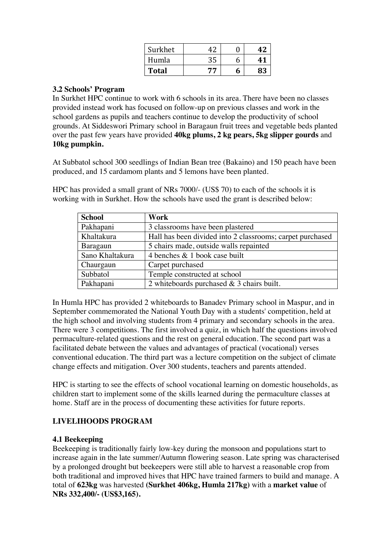| Surkhet      | 47 |   |  |
|--------------|----|---|--|
| Humla        | 35 | n |  |
| <b>Total</b> | 77 | n |  |

#### **3.2 Schools' Program**

In Surkhet HPC continue to work with 6 schools in its area. There have been no classes provided instead work has focused on follow-up on previous classes and work in the school gardens as pupils and teachers continue to develop the productivity of school grounds. At Siddeswori Primary school in Baragaun fruit trees and vegetable beds planted over the past few years have provided **40kg plums, 2 kg pears, 5kg slipper gourds** and **10kg pumpkin.**

At Subbatol school 300 seedlings of Indian Bean tree (Bakaino) and 150 peach have been produced, and 15 cardamom plants and 5 lemons have been planted.

HPC has provided a small grant of NRs 7000/- (US\$ 70) to each of the schools it is working with in Surkhet. How the schools have used the grant is described below:

| <b>School</b>   | Work                                                      |
|-----------------|-----------------------------------------------------------|
| Pakhapani       | 3 classrooms have been plastered                          |
| Khaltakura      | Hall has been divided into 2 classrooms; carpet purchased |
| Baragaun        | 5 chairs made, outside walls repainted                    |
| Sano Khaltakura | 4 benches & 1 book case built                             |
| Chaurgaun       | Carpet purchased                                          |
| Subbatol        | Temple constructed at school                              |
| Pakhapani       | 2 whiteboards purchased $&$ 3 chairs built.               |

In Humla HPC has provided 2 whiteboards to Banadev Primary school in Maspur, and in September commemorated the National Youth Day with a students' competition, held at the high school and involving students from 4 primary and secondary schools in the area. There were 3 competitions. The first involved a quiz, in which half the questions involved permaculture-related questions and the rest on general education. The second part was a facilitated debate between the values and advantages of practical (vocational) verses conventional education. The third part was a lecture competition on the subject of climate change effects and mitigation. Over 300 students, teachers and parents attended.

HPC is starting to see the effects of school vocational learning on domestic households, as children start to implement some of the skills learned during the permaculture classes at home. Staff are in the process of documenting these activities for future reports.

# **LIVELIHOODS PROGRAM**

#### **4.1 Beekeeping**

Beekeeping is traditionally fairly low-key during the monsoon and populations start to increase again in the late summer/Autumn flowering season. Late spring was characterised by a prolonged drought but beekeepers were still able to harvest a reasonable crop from both traditional and improved hives that HPC have trained farmers to build and manage. A total of **623kg** was harvested **(Surkhet 406kg, Humla 217kg)** with a **market value** of **NRs 332,400/- (US\$3,165).**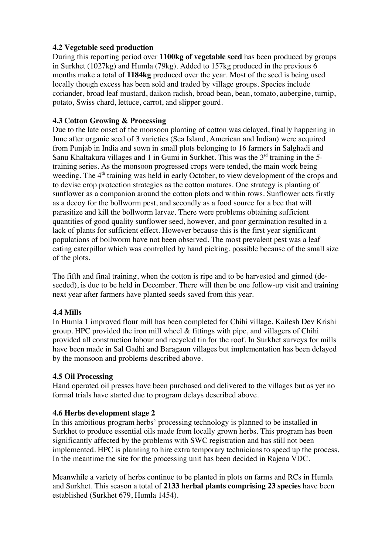## **4.2 Vegetable seed production**

During this reporting period over **1100kg of vegetable seed** has been produced by groups in Surkhet (1027kg) and Humla (79kg). Added to 157kg produced in the previous 6 months make a total of **1184kg** produced over the year. Most of the seed is being used locally though excess has been sold and traded by village groups. Species include coriander, broad leaf mustard, daikon radish, broad bean, bean, tomato, aubergine, turnip, potato, Swiss chard, lettuce, carrot, and slipper gourd.

## **4.3 Cotton Growing & Processing**

Due to the late onset of the monsoon planting of cotton was delayed, finally happening in June after organic seed of 3 varieties (Sea Island, American and Indian) were acquired from Punjab in India and sown in small plots belonging to 16 farmers in Salghadi and Sanu Khaltakura villages and 1 in Gumi in Surkhet. This was the  $3<sup>rd</sup>$  training in the 5training series. As the monsoon progressed crops were tended, the main work being weeding. The  $4<sup>th</sup>$  training was held in early October, to view development of the crops and to devise crop protection strategies as the cotton matures. One strategy is planting of sunflower as a companion around the cotton plots and within rows. Sunflower acts firstly as a decoy for the bollworm pest, and secondly as a food source for a bee that will parasitize and kill the bollworm larvae. There were problems obtaining sufficient quantities of good quality sunflower seed, however, and poor germination resulted in a lack of plants for sufficient effect. However because this is the first year significant populations of bollworm have not been observed. The most prevalent pest was a leaf eating caterpillar which was controlled by hand picking, possible because of the small size of the plots.

The fifth and final training, when the cotton is ripe and to be harvested and ginned (deseeded), is due to be held in December. There will then be one follow-up visit and training next year after farmers have planted seeds saved from this year.

## **4.4 Mills**

In Humla 1 improved flour mill has been completed for Chihi village, Kailesh Dev Krishi group. HPC provided the iron mill wheel & fittings with pipe, and villagers of Chihi provided all construction labour and recycled tin for the roof. In Surkhet surveys for mills have been made in Sal Gadhi and Baragaun villages but implementation has been delayed by the monsoon and problems described above.

## **4.5 Oil Processing**

Hand operated oil presses have been purchased and delivered to the villages but as yet no formal trials have started due to program delays described above.

## **4.6 Herbs development stage 2**

In this ambitious program herbs' processing technology is planned to be installed in Surkhet to produce essential oils made from locally grown herbs. This program has been significantly affected by the problems with SWC registration and has still not been implemented. HPC is planning to hire extra temporary technicians to speed up the process. In the meantime the site for the processing unit has been decided in Rajena VDC.

Meanwhile a variety of herbs continue to be planted in plots on farms and RCs in Humla and Surkhet. This season a total of **2133 herbal plants comprising 23 species** have been established (Surkhet 679, Humla 1454).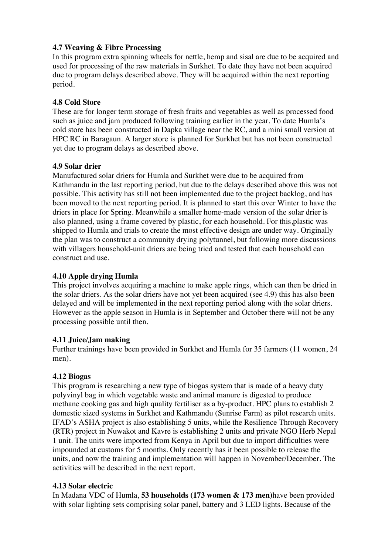## **4.7 Weaving & Fibre Processing**

In this program extra spinning wheels for nettle, hemp and sisal are due to be acquired and used for processing of the raw materials in Surkhet. To date they have not been acquired due to program delays described above. They will be acquired within the next reporting period.

#### **4.8 Cold Store**

These are for longer term storage of fresh fruits and vegetables as well as processed food such as juice and jam produced following training earlier in the year. To date Humla's cold store has been constructed in Dapka village near the RC, and a mini small version at HPC RC in Baragaun. A larger store is planned for Surkhet but has not been constructed yet due to program delays as described above.

#### **4.9 Solar drier**

Manufactured solar driers for Humla and Surkhet were due to be acquired from Kathmandu in the last reporting period, but due to the delays described above this was not possible. This activity has still not been implemented due to the project backlog, and has been moved to the next reporting period. It is planned to start this over Winter to have the driers in place for Spring. Meanwhile a smaller home-made version of the solar drier is also planned, using a frame covered by plastic, for each household. For this,plastic was shipped to Humla and trials to create the most effective design are under way. Originally the plan was to construct a community drying polytunnel, but following more discussions with villagers household-unit driers are being tried and tested that each household can construct and use.

## **4.10 Apple drying Humla**

This project involves acquiring a machine to make apple rings, which can then be dried in the solar driers. As the solar driers have not yet been acquired (see 4.9) this has also been delayed and will be implemented in the next reporting period along with the solar driers. However as the apple season in Humla is in September and October there will not be any processing possible until then.

## **4.11 Juice/Jam making**

Further trainings have been provided in Surkhet and Humla for 35 farmers (11 women, 24 men).

#### **4.12 Biogas**

This program is researching a new type of biogas system that is made of a heavy duty polyvinyl bag in which vegetable waste and animal manure is digested to produce methane cooking gas and high quality fertiliser as a by-product. HPC plans to establish 2 domestic sized systems in Surkhet and Kathmandu (Sunrise Farm) as pilot research units. IFAD's ASHA project is also establishing 5 units, while the Resilience Through Recovery (RTR) project in Nuwakot and Kavre is establishing 2 units and private NGO Herb Nepal 1 unit. The units were imported from Kenya in April but due to import difficulties were impounded at customs for 5 months. Only recently has it been possible to release the units, and now the training and implementation will happen in November/December. The activities will be described in the next report.

#### **4.13 Solar electric**

In Madana VDC of Humla, **53 households (173 women & 173 men)**have been provided with solar lighting sets comprising solar panel, battery and 3 LED lights. Because of the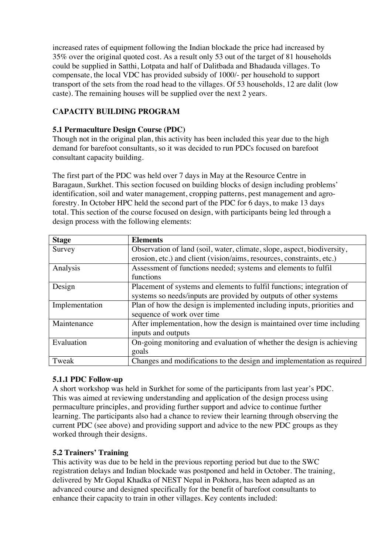increased rates of equipment following the Indian blockade the price had increased by 35% over the original quoted cost. As a result only 53 out of the target of 81 households could be supplied in Satthi, Lotpata and half of Dalitbada and Bhadauda villages. To compensate, the local VDC has provided subsidy of 1000/- per household to support transport of the sets from the road head to the villages. Of 53 households, 12 are dalit (low caste). The remaining houses will be supplied over the next 2 years.

# **CAPACITY BUILDING PROGRAM**

## **5.1 Permaculture Design Course (PDC)**

Though not in the original plan, this activity has been included this year due to the high demand for barefoot consultants, so it was decided to run PDCs focused on barefoot consultant capacity building.

The first part of the PDC was held over 7 days in May at the Resource Centre in Baragaun, Surkhet. This section focused on building blocks of design including problems' identification, soil and water management, cropping patterns, pest management and agroforestry. In October HPC held the second part of the PDC for 6 days, to make 13 days total. This section of the course focused on design, with participants being led through a design process with the following elements:

| <b>Stage</b>   | <b>Elements</b>                                                         |
|----------------|-------------------------------------------------------------------------|
| Survey         | Observation of land (soil, water, climate, slope, aspect, biodiversity, |
|                | erosion, etc.) and client (vision/aims, resources, constraints, etc.)   |
| Analysis       | Assessment of functions needed; systems and elements to fulfil          |
|                | functions                                                               |
| Design         | Placement of systems and elements to fulfil functions; integration of   |
|                | systems so needs/inputs are provided by outputs of other systems        |
| Implementation | Plan of how the design is implemented including inputs, priorities and  |
|                | sequence of work over time                                              |
| Maintenance    | After implementation, how the design is maintained over time including  |
|                | inputs and outputs                                                      |
| Evaluation     | On-going monitoring and evaluation of whether the design is achieving   |
|                | goals                                                                   |
| Tweak          | Changes and modifications to the design and implementation as required  |

## **5.1.1 PDC Follow-up**

A short workshop was held in Surkhet for some of the participants from last year's PDC. This was aimed at reviewing understanding and application of the design process using permaculture principles, and providing further support and advice to continue further learning. The participants also had a chance to review their learning through observing the current PDC (see above) and providing support and advice to the new PDC groups as they worked through their designs.

## **5.2 Trainers' Training**

This activity was due to be held in the previous reporting period but due to the SWC registration delays and Indian blockade was postponed and held in October. The training, delivered by Mr Gopal Khadka of NEST Nepal in Pokhora, has been adapted as an advanced course and designed specifically for the benefit of barefoot consultants to enhance their capacity to train in other villages. Key contents included: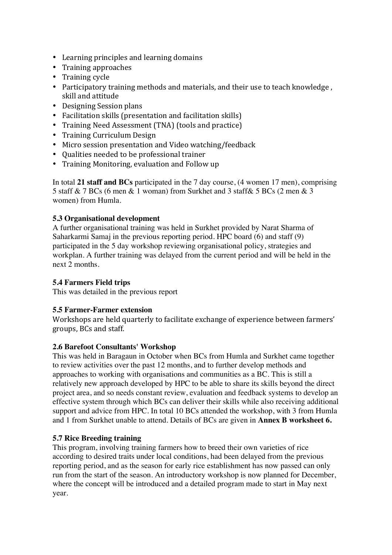- Learning principles and learning domains
- Training approaches
- Training cycle
- Participatory training methods and materials, and their use to teach knowledge, skill and attitude
- Designing Session plans
- Facilitation skills (presentation and facilitation skills)
- Training Need Assessment (TNA) (tools and practice)
- Training Curriculum Design
- Micro session presentation and Video watching/feedback
- Qualities needed to be professional trainer
- Training Monitoring, evaluation and Follow up

In total **21 staff and BCs** participated in the 7 day course, (4 women 17 men), comprising 5 staff & 7 BCs (6 men & 1 woman) from Surkhet and 3 staff& 5 BCs (2 men & 3 women) from Humla.

# **5.3 Organisational development**

A further organisational training was held in Surkhet provided by Narat Sharma of Saharkarmi Samaj in the previous reporting period. HPC board (6) and staff (9) participated in the 5 day workshop reviewing organisational policy, strategies and workplan. A further training was delayed from the current period and will be held in the next 2 months.

# **5.4 Farmers Field trips**

This was detailed in the previous report

# **5.5 Farmer-Farmer extension**

Workshops are held quarterly to facilitate exchange of experience between farmers' groups, BCs and staff.

# **2.6 Barefoot Consultants' Workshop**

This was held in Baragaun in October when BCs from Humla and Surkhet came together to review activities over the past 12 months, and to further develop methods and approaches to working with organisations and communities as a BC. This is still a relatively new approach developed by HPC to be able to share its skills beyond the direct project area, and so needs constant review, evaluation and feedback systems to develop an effective system through which BCs can deliver their skills while also receiving additional support and advice from HPC. In total 10 BCs attended the workshop, with 3 from Humla and 1 from Surkhet unable to attend. Details of BCs are given in **Annex B worksheet 6.**

# **5.7 Rice Breeding training**

This program, involving training farmers how to breed their own varieties of rice according to desired traits under local conditions, had been delayed from the previous reporting period, and as the season for early rice establishment has now passed can only run from the start of the season. An introductory workshop is now planned for December, where the concept will be introduced and a detailed program made to start in May next year.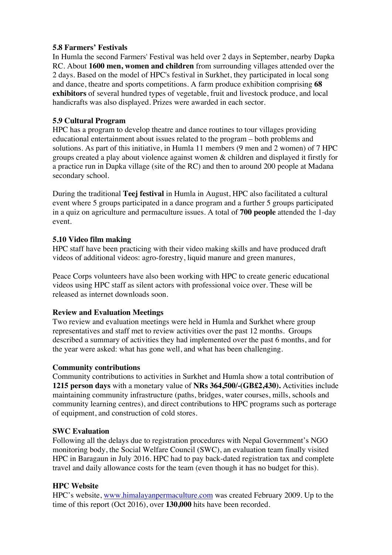#### **5.8 Farmers' Festivals**

In Humla the second Farmers' Festival was held over 2 days in September, nearby Dapka RC. About **1600 men, women and children** from surrounding villages attended over the 2 days. Based on the model of HPC's festival in Surkhet, they participated in local song and dance, theatre and sports competitions. A farm produce exhibition comprising **68 exhibitors** of several hundred types of vegetable, fruit and livestock produce, and local handicrafts was also displayed. Prizes were awarded in each sector.

## **5.9 Cultural Program**

HPC has a program to develop theatre and dance routines to tour villages providing educational entertainment about issues related to the program – both problems and solutions. As part of this initiative, in Humla 11 members (9 men and 2 women) of 7 HPC groups created a play about violence against women & children and displayed it firstly for a practice run in Dapka village (site of the RC) and then to around 200 people at Madana secondary school.

During the traditional **Teej festival** in Humla in August, HPC also facilitated a cultural event where 5 groups participated in a dance program and a further 5 groups participated in a quiz on agriculture and permaculture issues. A total of **700 people** attended the 1-day event.

#### **5.10 Video film making**

HPC staff have been practicing with their video making skills and have produced draft videos of additional videos: agro-forestry, liquid manure and green manures,

Peace Corps volunteers have also been working with HPC to create generic educational videos using HPC staff as silent actors with professional voice over. These will be released as internet downloads soon.

#### **Review and Evaluation Meetings**

Two review and evaluation meetings were held in Humla and Surkhet where group representatives and staff met to review activities over the past 12 months. Groups described a summary of activities they had implemented over the past 6 months, and for the year were asked: what has gone well, and what has been challenging.

#### **Community contributions**

Community contributions to activities in Surkhet and Humla show a total contribution of **1215 person days** with a monetary value of **NRs 364,500/-(GB£2,430).** Activities include maintaining community infrastructure (paths, bridges, water courses, mills, schools and community learning centres), and direct contributions to HPC programs such as porterage of equipment, and construction of cold stores.

#### **SWC Evaluation**

Following all the delays due to registration procedures with Nepal Government's NGO monitoring body, the Social Welfare Council (SWC), an evaluation team finally visited HPC in Baragaun in July 2016. HPC had to pay back-dated registration tax and complete travel and daily allowance costs for the team (even though it has no budget for this).

## **HPC Website**

HPC's website, www.himalayanpermaculture.com was created February 2009. Up to the time of this report (Oct 2016), over **130,000** hits have been recorded.